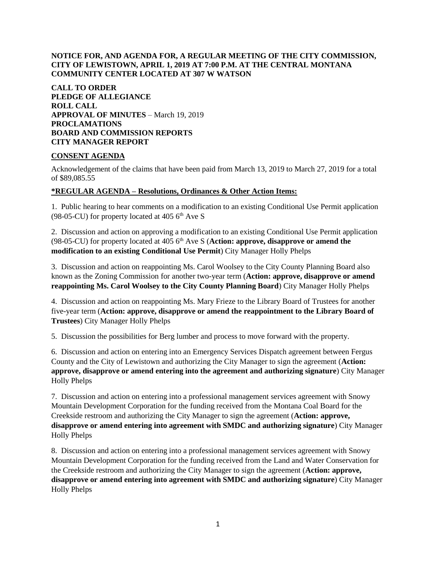### **NOTICE FOR, AND AGENDA FOR, A REGULAR MEETING OF THE CITY COMMISSION, CITY OF LEWISTOWN, APRIL 1, 2019 AT 7:00 P.M. AT THE CENTRAL MONTANA COMMUNITY CENTER LOCATED AT 307 W WATSON**

**CALL TO ORDER PLEDGE OF ALLEGIANCE ROLL CALL APPROVAL OF MINUTES** – March 19, 2019 **PROCLAMATIONS BOARD AND COMMISSION REPORTS CITY MANAGER REPORT** 

#### **CONSENT AGENDA**

Acknowledgement of the claims that have been paid from March 13, 2019 to March 27, 2019 for a total of \$89,085.55

#### **\*REGULAR AGENDA – Resolutions, Ordinances & Other Action Items:**

1. Public hearing to hear comments on a modification to an existing Conditional Use Permit application (98-05-CU) for property located at  $405\,6^{th}$  Ave S

2. Discussion and action on approving a modification to an existing Conditional Use Permit application (98-05-CU) for property located at 405 6<sup>th</sup> Ave S (**Action: approve, disapprove or amend the modification to an existing Conditional Use Permit**) City Manager Holly Phelps

3. Discussion and action on reappointing Ms. Carol Woolsey to the City County Planning Board also known as the Zoning Commission for another two-year term (**Action: approve, disapprove or amend reappointing Ms. Carol Woolsey to the City County Planning Board**) City Manager Holly Phelps

4. Discussion and action on reappointing Ms. Mary Frieze to the Library Board of Trustees for another five-year term (**Action: approve, disapprove or amend the reappointment to the Library Board of Trustees**) City Manager Holly Phelps

5. Discussion the possibilities for Berg lumber and process to move forward with the property.

6. Discussion and action on entering into an Emergency Services Dispatch agreement between Fergus County and the City of Lewistown and authorizing the City Manager to sign the agreement (**Action: approve, disapprove or amend entering into the agreement and authorizing signature**) City Manager Holly Phelps

7. Discussion and action on entering into a professional management services agreement with Snowy Mountain Development Corporation for the funding received from the Montana Coal Board for the Creekside restroom and authorizing the City Manager to sign the agreement (**Action: approve, disapprove or amend entering into agreement with SMDC and authorizing signature**) City Manager Holly Phelps

8. Discussion and action on entering into a professional management services agreement with Snowy Mountain Development Corporation for the funding received from the Land and Water Conservation for the Creekside restroom and authorizing the City Manager to sign the agreement (**Action: approve, disapprove or amend entering into agreement with SMDC and authorizing signature**) City Manager Holly Phelps